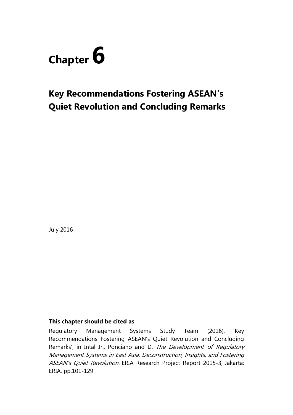

# **Key Recommendations Fostering ASEAN's Quiet Revolution and Concluding Remarks**

July 2016

### **This chapter should be cited as**

Regulatory Management Systems Study Team (2016), 'Key Recommendations Fostering ASEAN's Quiet Revolution and Concluding Remarks', in Intal Jr., Ponciano and D. The Development of Regulatory Management Systems in East Asia: Deconstruction, Insights, and Fostering ASEAN's Quiet Revolution. ERIA Research Project Report 2015-3, Jakarta: ERIA, pp.101-129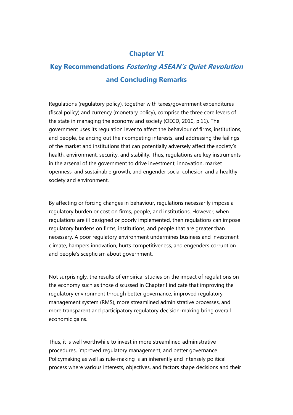# **Chapter VI**

# **Key Recommendations Fostering ASEAN's Quiet Revolution and Concluding Remarks**

Regulations (regulatory policy), together with taxes/government expenditures (fiscal policy) and currency (monetary policy), comprise the three core levers of the state in managing the economy and society (OECD, 2010, p.11). The government uses its regulation lever to affect the behaviour of firms, institutions, and people, balancing out their competing interests, and addressing the failings of the market and institutions that can potentially adversely affect the society's health, environment, security, and stability. Thus, regulations are key instruments in the arsenal of the government to drive investment, innovation, market openness, and sustainable growth, and engender social cohesion and a healthy society and environment.

By affecting or forcing changes in behaviour, regulations necessarily impose a regulatory burden or cost on firms, people, and institutions. However, when regulations are ill designed or poorly implemented, then regulations can impose regulatory burdens on firms, institutions, and people that are greater than necessary. A poor regulatory environment undermines business and investment climate, hampers innovation, hurts competitiveness, and engenders corruption and people's scepticism about government.

Not surprisingly, the results of empirical studies on the impact of regulations on the economy such as those discussed in Chapter I indicate that improving the regulatory environment through better governance, improved regulatory management system (RMS), more streamlined administrative processes, and more transparent and participatory regulatory decision-making bring overall economic gains.

Thus, it is well worthwhile to invest in more streamlined administrative procedures, improved regulatory management, and better governance. Policymaking as well as rule-making is an inherently and intensely political process where various interests, objectives, and factors shape decisions and their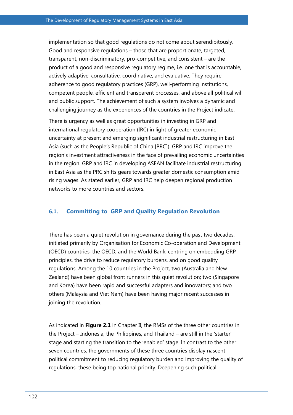implementation so that good regulations do not come about serendipitously. Good and responsive regulations – those that are proportionate, targeted, transparent, non-discriminatory, pro-competitive, and consistent – are the product of a good and responsive regulatory regime, i.e. one that is accountable, actively adaptive, consultative, coordinative, and evaluative. They require adherence to good regulatory practices (GRP), well-performing institutions, competent people, efficient and transparent processes, and above all political will and public support. The achievement of such a system involves a dynamic and challenging journey as the experiences of the countries in the Project indicate.

There is urgency as well as great opportunities in investing in GRP and international regulatory cooperation (IRC) in light of greater economic uncertainty at present and emerging significant industrial restructuring in East Asia (such as the People's Republic of China [PRC]). GRP and IRC improve the region's investment attractiveness in the face of prevailing economic uncertainties in the region. GRP and IRC in developing ASEAN facilitate industrial restructuring in East Asia as the PRC shifts gears towards greater domestic consumption amid rising wages. As stated earlier, GRP and IRC help deepen regional production networks to more countries and sectors.

### **6.1. Committing to GRP and Quality Regulation Revolution**

There has been a quiet revolution in governance during the past two decades, initiated primarily by Organisation for Economic Co-operation and Development (OECD) countries, the OECD, and the World Bank, centring on embedding GRP principles, the drive to reduce regulatory burdens, and on good quality regulations. Among the 10 countries in the Project, two (Australia and New Zealand) have been global front runners in this quiet revolution; two (Singapore and Korea) have been rapid and successful adapters and innovators; and two others (Malaysia and Viet Nam) have been having major recent successes in joining the revolution.

As indicated in **Figure 2.1** in Chapter II, the RMSs of the three other countries in the Project – Indonesia, the Philippines, and Thailand – are still in the 'starter' stage and starting the transition to the 'enabled' stage. In contrast to the other seven countries, the governments of these three countries display nascent political commitment to reducing regulatory burden and improving the quality of regulations, these being top national priority. Deepening such political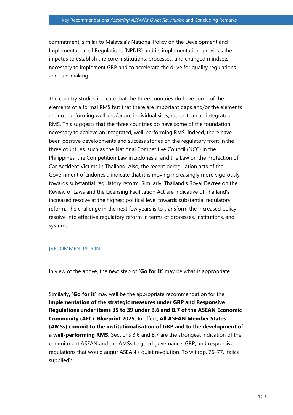commitment, similar to Malaysia's National Policy on the Development and Implementation of Regulations (NPDIR) and its implementation, provides the impetus to establish the core institutions, processes, and changed mindsets necessary to implement GRP and to accelerate the drive for quality regulations and rule-making.

The country studies indicate that the three countries do have some of the elements of a formal RMS but that there are important gaps and/or the elements are not performing well and/or are individual silos, rather than an integrated RMS. This suggests that the three countries do have some of the foundation necessary to achieve an integrated, well-performing RMS. Indeed, there have been positive developments and success stories on the regulatory front in the three countries, such as the National Competitive Council (NCC) in the Philippines, the Competition Law in Indonesia, and the Law on the Protection of Car Accident Victims in Thailand. Also, the recent deregulation acts of the Government of Indonesia indicate that it is moving increasingly more vigorously towards substantial regulatory reform. Similarly, Thailand's Royal Decree on the Review of Laws and the Licensing Facilitation Act are indicative of Thailand's increased resolve at the highest political level towards substantial regulatory reform. The challenge in the next few years is to transform the increased policy resolve into effective regulatory reform in terms of processes, institutions, and systems.

#### [RECOMMENDATION]

In view of the above, the next step of **'Go for It'** may be what is appropriate.

Similarly**, 'Go for it**' may well be the appropriate recommendation for the **implementation of the strategic measures under GRP and Responsive Regulations under items 35 to 39 under B.6 and B.7 of the ASEAN Economic Community (AEC) Blueprint 2025.** In effect, **All ASEAN Member States (AMSs) commit to the institutionalisation of GRP and to the development of a well-performing RMS.** Sections B.6 and B.7 are the strongest indication of the commitment ASEAN and the AMSs to good governance, GRP, and responsive regulations that would augur ASEAN's quiet revolution. To wit (pp. 76–77, italics supplied):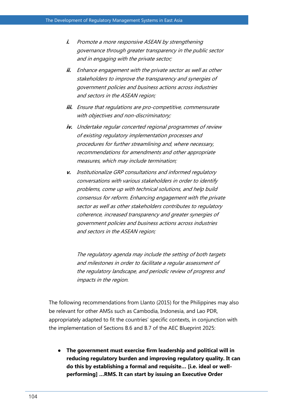- **i.** Promote a more responsive ASEAN by strengthening governance through greater transparency in the public sector and in engaging with the private sector;
- **ii.** Enhance engagement with the private sector as well as other stakeholders to improve the transparency and synergies of government policies and business actions across industries and sectors in the ASEAN region;
- **iii.** Ensure that regulations are pro-competitive, commensurate with objectives and non-discriminatory;
- **iv.** Undertake regular concerted regional programmes of review of existing regulatory implementation processes and procedures for further streamlining and, where necessary, recommendations for amendments and other appropriate measures, which may include termination;
- **v.** Institutionalize GRP consultations and informed regulatory conversations with various stakeholders in order to identify problems, come up with technical solutions, and help build consensus for reform. Enhancing engagement with the private sector as well as other stakeholders contributes to regulatory coherence, increased transparency and greater synergies of government policies and business actions across industries and sectors in the ASEAN region;

The regulatory agenda may include the setting of both targets and milestones in order to facilitate a regular assessment of the regulatory landscape, and periodic review of progress and impacts in the region.

The following recommendations from Llanto (2015) for the Philippines may also be relevant for other AMSs such as Cambodia, Indonesia, and Lao PDR, appropriately adapted to fit the countries' specific contexts, in conjunction with the implementation of Sections B.6 and B.7 of the AEC Blueprint 2025:

● **The government must exercise firm leadership and political will in reducing regulatory burden and improving regulatory quality. It can do this by establishing a formal and requisite… [i.e. ideal or wellperforming] …RMS. It can start by issuing an Executive Order**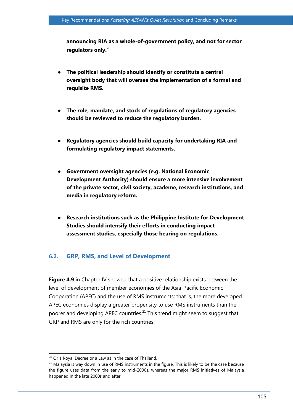**announcing RIA as a whole-of-government policy, and not for sector regulators only.** 20

- **The political leadership should identify or constitute a central oversight body that will oversee the implementation of a formal and requisite RMS.**
- **The role, mandate, and stock of regulations of regulatory agencies should be reviewed to reduce the regulatory burden.**
- **Regulatory agencies should build capacity for undertaking RIA and formulating regulatory impact statements.**
- **Government oversight agencies (e.g. National Economic Development Authority) should ensure a more intensive involvement of the private sector, civil society, academe, research institutions, and media in regulatory reform.**
- **Research institutions such as the Philippine Institute for Development Studies should intensify their efforts in conducting impact assessment studies, especially those bearing on regulations.**

### **6.2. GRP, RMS, and Level of Development**

**Figure 4.9** in Chapter IV showed that a positive relationship exists between the level of development of member economies of the Asia-Pacific Economic Cooperation (APEC) and the use of RMS instruments; that is, the more developed APEC economies display a greater propensity to use RMS instruments than the poorer and developing APEC countries.<sup>21</sup> This trend might seem to suggest that GRP and RMS are only for the rich countries.

 $\overline{a}$  $20$  Or a Royal Decree or a Law as in the case of Thailand.

 $21$  Malaysia is way down in use of RMS instruments in the figure. This is likely to be the case because the figure uses data from the early to mid-2000s, whereas the major RMS initiatives of Malaysia happened in the late 2000s and after.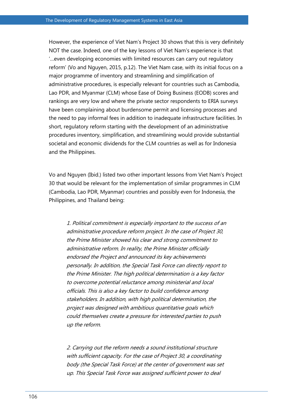However, the experience of Viet Nam's Project 30 shows that this is very definitely NOT the case. Indeed, one of the key lessons of Viet Nam's experience is that '…even developing economies with limited resources can carry out regulatory reform' (Vo and Nguyen, 2015, p.12). The Viet Nam case, with its initial focus on a major programme of inventory and streamlining and simplification of administrative procedures, is especially relevant for countries such as Cambodia, Lao PDR, and Myanmar (CLM) whose Ease of Doing Business (EODB) scores and rankings are very low and where the private sector respondents to ERIA surveys have been complaining about burdensome permit and licensing processes and the need to pay informal fees in addition to inadequate infrastructure facilities. In short, regulatory reform starting with the development of an administrative procedures inventory, simplification, and streamlining would provide substantial societal and economic dividends for the CLM countries as well as for Indonesia and the Philippines.

Vo and Nguyen (Ibid.) listed two other important lessons from Viet Nam's Project 30 that would be relevant for the implementation of similar programmes in CLM (Cambodia, Lao PDR, Myanmar) countries and possibly even for Indonesia, the Philippines, and Thailand being:

1. Political commitment is especially important to the success of an administrative procedure reform project. In the case of Project 30, the Prime Minister showed his clear and strong commitment to administrative reform. In reality, the Prime Minister officially endorsed the Project and announced its key achievements personally. In addition, the Special Task Force can directly report to the Prime Minister. The high political determination is a key factor to overcome potential reluctance among ministerial and local officials. This is also a key factor to build confidence among stakeholders. In addition, with high political determination, the project was designed with ambitious quantitative goals which could themselves create a pressure for interested parties to push up the reform.

2. Carrying out the reform needs a sound institutional structure with sufficient capacity. For the case of Project 30, a coordinating body (the Special Task Force) at the center of government was set up. This Special Task Force was assigned sufficient power to deal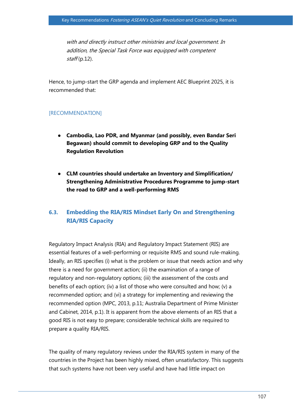with and directly instruct other ministries and local government. In addition, the Special Task Force was equipped with competent  $staff(p.12).$ 

Hence, to jump-start the GRP agenda and implement AEC Blueprint 2025, it is recommended that:

#### [RECOMMENDATION]

- **Cambodia, Lao PDR, and Myanmar (and possibly, even Bandar Seri Begawan) should commit to developing GRP and to the Quality Regulation Revolution**
- **CLM countries should undertake an Inventory and Simplification/ Strengthening Administrative Procedures Programme to jump-start the road to GRP and a well-performing RMS**

# **6.3. Embedding the RIA/RIS Mindset Early On and Strengthening RIA/RIS Capacity**

Regulatory Impact Analysis (RIA) and Regulatory Impact Statement (RIS) are essential features of a well-performing or requisite RMS and sound rule-making. Ideally, an RIS specifies (i) what is the problem or issue that needs action and why there is a need for government action; (ii) the examination of a range of regulatory and non-regulatory options; (iii) the assessment of the costs and benefits of each option; (iv) a list of those who were consulted and how; (v) a recommended option; and (vi) a strategy for implementing and reviewing the recommended option (MPC, 2013, p.11; Australia Department of Prime Minister and Cabinet, 2014, p.1). It is apparent from the above elements of an RIS that a good RIS is not easy to prepare; considerable technical skills are required to prepare a quality RIA/RIS.

The quality of many regulatory reviews under the RIA/RIS system in many of the countries in the Project has been highly mixed, often unsatisfactory. This suggests that such systems have not been very useful and have had little impact on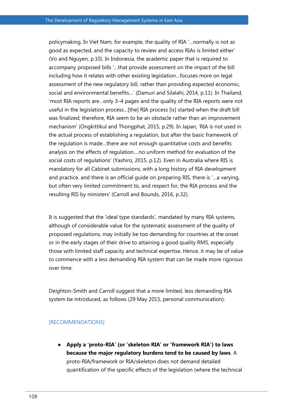policymaking. In Viet Nam, for example, the quality of RIA '…normally is not as good as expected, and the capacity to review and access RIAs is limited either' (Vo and Nguyen, p.10). In Indonesia, the academic paper that is required to accompany proposed bills '…that provide assessment on the impact of the bill including how it relates with other existing legislation…focuses more on legal assessment of the new regulatory bill, rather than providing expected economic, social and environmental benefits…' (Damuri and Silalahi, 2014, p.11). In Thailand, 'most RIA reports are…only 3–4 pages and the quality of the RIA reports were not useful in the legislation process…[the] RIA process [is] started when the draft bill was finalized; therefore, RIA seem to be an obstacle rather than an improvement mechanism' (Ongkittikul and Thongphat, 2015, p.29). In Japan, 'RIA is not used in the actual process of establishing a regulation, but after the basic framework of the regulation is made…there are not enough quantitative costs and benefits analysis on the effects of regulation….no uniform method for evaluation of the social costs of regulations' (Yashiro, 2015, p.12). Even in Australia where RIS is mandatory for all Cabinet submissions, with a long history of RIA development and practice, and there is an official guide on preparing RIS, there is '…a varying, but often very limited commitment to, and respect for, the RIA process and the resulting RIS by ministers' (Carroll and Bounds, 2016, p.32).

It is suggested that the 'ideal type standards', mandated by many RIA systems, although of considerable value for the systematic assessment of the quality of proposed regulations, may initially be too demanding for countries at the onset or in the early stages of their drive to attaining a good quality RMS, especially those with limited staff capacity and technical expertise. Hence, it may be of value to commence with a less demanding RIA system that can be made more rigorous over time.

Deighton-Smith and Carroll suggest that a more limited, less demanding RIA system be introduced, as follows (29 May 2015, personal communication):

#### [RECOMMENDATIONS]

● **Apply a 'proto-RIA' (or 'skeleton RIA' or 'framework RIA') to laws because the major regulatory burdens tend to be caused by laws**. A proto-RIA/framework or RIA/skeleton does not demand detailed quantification of the specific effects of the legislation (where the technical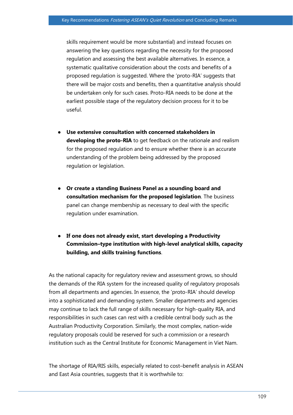skills requirement would be more substantial) and instead focuses on answering the key questions regarding the necessity for the proposed regulation and assessing the best available alternatives. In essence, a systematic qualitative consideration about the costs and benefits of a proposed regulation is suggested. Where the 'proto-RIA' suggests that there will be major costs and benefits, then a quantitative analysis should be undertaken only for such cases. Proto-RIA needs to be done at the earliest possible stage of the regulatory decision process for it to be useful.

- **Use extensive consultation with concerned stakeholders in developing the proto-RIA** to get feedback on the rationale and realism for the proposed regulation and to ensure whether there is an accurate understanding of the problem being addressed by the proposed regulation or legislation.
- **Or create a standing Business Panel as a sounding board and consultation mechanism for the proposed legislation**. The business panel can change membership as necessary to deal with the specific regulation under examination.
- **If one does not already exist, start developing a Productivity Commission–type institution with high-level analytical skills, capacity building, and skills training functions**.

As the national capacity for regulatory review and assessment grows, so should the demands of the RIA system for the increased quality of regulatory proposals from all departments and agencies. In essence, the 'proto-RIA' should develop into a sophisticated and demanding system. Smaller departments and agencies may continue to lack the full range of skills necessary for high-quality RIA, and responsibilities in such cases can rest with a credible central body such as the Australian Productivity Corporation. Similarly, the most complex, nation-wide regulatory proposals could be reserved for such a commission or a research institution such as the Central Institute for Economic Management in Viet Nam.

The shortage of RIA/RIS skills, especially related to cost–benefit analysis in ASEAN and East Asia countries, suggests that it is worthwhile to: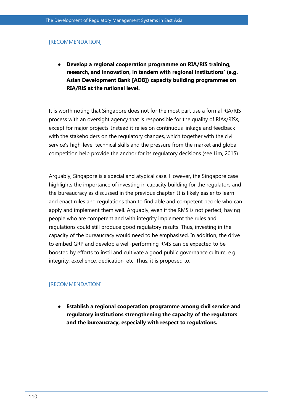#### [RECOMMENDATION]

● **Develop a regional cooperation programme on RIA/RIS training, research, and innovation, in tandem with regional institutions' (e.g. Asian Development Bank [ADB]) capacity building programmes on RIA/RIS at the national level.**

It is worth noting that Singapore does not for the most part use a formal RIA/RIS process with an oversight agency that is responsible for the quality of RIAs/RISs, except for major projects. Instead it relies on continuous linkage and feedback with the stakeholders on the regulatory changes, which together with the civil service's high-level technical skills and the pressure from the market and global competition help provide the anchor for its regulatory decisions (see Lim, 2015).

Arguably, Singapore is a special and atypical case. However, the Singapore case highlights the importance of investing in capacity building for the regulators and the bureaucracy as discussed in the previous chapter. It is likely easier to learn and enact rules and regulations than to find able and competent people who can apply and implement them well. Arguably, even if the RMS is not perfect, having people who are competent and with integrity implement the rules and regulations could still produce good regulatory results. Thus, investing in the capacity of the bureaucracy would need to be emphasised. In addition, the drive to embed GRP and develop a well-performing RMS can be expected to be boosted by efforts to instil and cultivate a good public governance culture, e.g. integrity, excellence, dedication, etc. Thus, it is proposed to:

#### [RECOMMENDATION]

● **Establish a regional cooperation programme among civil service and regulatory institutions strengthening the capacity of the regulators and the bureaucracy, especially with respect to regulations.**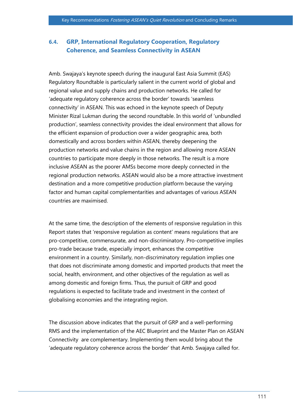# **6.4. GRP, International Regulatory Cooperation, Regulatory Coherence, and Seamless Connectivity in ASEAN**

Amb. Swajaya's keynote speech during the inaugural East Asia Summit (EAS) Regulatory Roundtable is particularly salient in the current world of global and regional value and supply chains and production networks. He called for 'adequate regulatory coherence across the border' towards 'seamless connectivity' in ASEAN. This was echoed in the keynote speech of Deputy Minister Rizal Lukman during the second roundtable. In this world of 'unbundled production', seamless connectivity provides the ideal environment that allows for the efficient expansion of production over a wider geographic area, both domestically and across borders within ASEAN, thereby deepening the production networks and value chains in the region and allowing more ASEAN countries to participate more deeply in those networks. The result is a more inclusive ASEAN as the poorer AMSs become more deeply connected in the regional production networks. ASEAN would also be a more attractive investment destination and a more competitive production platform because the varying factor and human capital complementarities and advantages of various ASEAN countries are maximised.

At the same time, the description of the elements of responsive regulation in this Report states that 'responsive regulation as content' means regulations that are pro-competitive, commensurate, and non-discriminatory. Pro-competitive implies pro-trade because trade, especially import, enhances the competitive environment in a country. Similarly, non-discriminatory regulation implies one that does not discriminate among domestic and imported products that meet the social, health, environment, and other objectives of the regulation as well as among domestic and foreign firms. Thus, the pursuit of GRP and good regulations is expected to facilitate trade and investment in the context of globalising economies and the integrating region.

The discussion above indicates that the pursuit of GRP and a well-performing RMS and the implementation of the AEC Blueprint and the Master Plan on ASEAN Connectivity are complementary. Implementing them would bring about the 'adequate regulatory coherence across the border' that Amb. Swajaya called for.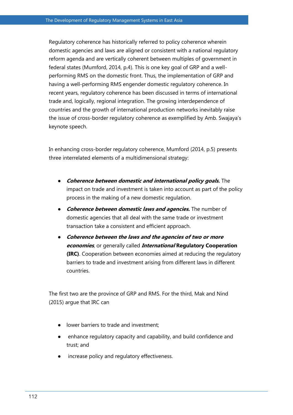Regulatory coherence has historically referred to policy coherence wherein domestic agencies and laws are aligned or consistent with a national regulatory reform agenda and are vertically coherent between multiples of government in federal states (Mumford, 2014, p.4). This is one key goal of GRP and a wellperforming RMS on the domestic front. Thus, the implementation of GRP and having a well-performing RMS engender domestic regulatory coherence. In recent years, regulatory coherence has been discussed in terms of international trade and, logically, regional integration. The growing interdependence of countries and the growth of international production networks inevitably raise the issue of cross-border regulatory coherence as exemplified by Amb. Swajaya's keynote speech.

In enhancing cross-border regulatory coherence, Mumford (2014, p.5) presents three interrelated elements of a multidimensional strategy:

- **Coherence between domestic and international policy goals.** The impact on trade and investment is taken into account as part of the policy process in the making of a new domestic regulation.
- **Coherence between domestic laws and agencies.** The number of domestic agencies that all deal with the same trade or investment transaction take a consistent and efficient approach.
- **Coherence between the laws and the agencies of two or more economies**, or generally called **International Regulatory Cooperation (IRC)**. Cooperation between economies aimed at reducing the regulatory barriers to trade and investment arising from different laws in different countries.

The first two are the province of GRP and RMS. For the third, Mak and Nind (2015) argue that IRC can

- lower barriers to trade and investment;
- enhance regulatory capacity and capability, and build confidence and trust; and
- increase policy and regulatory effectiveness.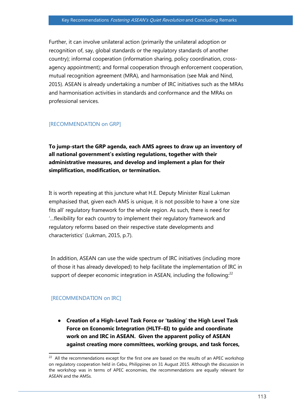Further, it can involve unilateral action (primarily the unilateral adoption or recognition of, say, global standards or the regulatory standards of another country); informal cooperation (information sharing, policy coordination, crossagency appointment); and formal cooperation through enforcement cooperation, mutual recognition agreement (MRA), and harmonisation (see Mak and Nind, 2015). ASEAN is already undertaking a number of IRC initiatives such as the MRAs and harmonisation activities in standards and conformance and the MRAs on professional services.

### [RECOMMENDATION on GRP]

**To jump-start the GRP agenda, each AMS agrees to draw up an inventory of all national government's existing regulations, together with their administrative measures, and develop and implement a plan for their simplification, modification, or termination.**

It is worth repeating at this juncture what H.E. Deputy Minister Rizal Lukman emphasised that, given each AMS is unique, it is not possible to have a 'one size fits all' regulatory framework for the whole region. As such, there is need for '…flexibility for each country to implement their regulatory framework and regulatory reforms based on their respective state developments and characteristics' (Lukman, 2015, p.7).

In addition, ASEAN can use the wide spectrum of IRC initiatives (including more of those it has already developed) to help facilitate the implementation of IRC in support of deeper economic integration in ASEAN, including the following: $^{22}$ 

### [RECOMMENDATION on IRC]

● **Creation of a High-Level Task Force or 'tasking' the High Level Task Force on Economic Integration (HLTF–EI) to guide and coordinate work on and IRC in ASEAN. Given the apparent policy of ASEAN against creating more committees, working groups, and task forces,** 

<sup>&</sup>lt;sup>22</sup> All the recommendations except for the first one are based on the results of an APEC workshop on regulatory cooperation held in Cebu, Philippines on 31 August 2015. Although the discussion in the workshop was in terms of APEC economies, the recommendations are equally relevant for ASEAN and the AMSs.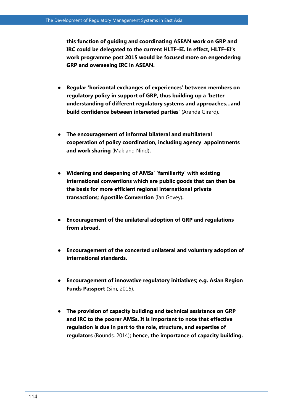**this function of guiding and coordinating ASEAN work on GRP and IRC could be delegated to the current HLTF–EI. In effect, HLTF–EI's work programme post 2015 would be focused more on engendering GRP and overseeing IRC in ASEAN.**

- **Regular 'horizontal exchanges of experiences' between members on regulatory policy in support of GRP, thus building up a 'better understanding of different regulatory systems and approaches…and build confidence between interested parties'** (Aranda Girard)**.**
- **The encouragement of informal bilateral and multilateral cooperation of policy coordination, including agency appointments and work sharing** (Mak and Nind)**.**
- **Widening and deepening of AMSs' 'familiarity' with existing international conventions which are public goods that can then be the basis for more efficient regional international private transactions; Apostille Convention** (Ian Govey)**.**
- **Encouragement of the unilateral adoption of GRP and regulations from abroad.**
- **Encouragement of the concerted unilateral and voluntary adoption of international standards.**
- **Encouragement of innovative regulatory initiatives; e.g. Asian Region Funds Passport** (Sim, 2015)**.**
- **The provision of capacity building and technical assistance on GRP and IRC to the poorer AMSs. It is important to note that effective regulation is due in part to the role, structure, and expertise of regulators** (Bounds, 2014)**; hence, the importance of capacity building.**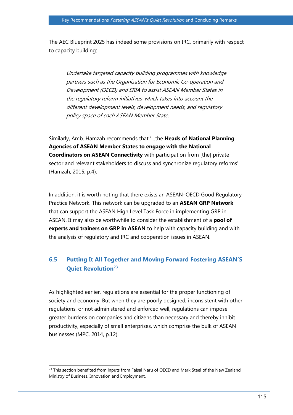The AEC Blueprint 2025 has indeed some provisions on IRC, primarily with respect to capacity building:

Undertake targeted capacity building programmes with knowledge partners such as the Organisation for Economic Co-operation and Development (OECD) and ERIA to assist ASEAN Member States in the regulatory reform initiatives, which takes into account the different development levels, development needs, and regulatory policy space of each ASEAN Member State.

Similarly, Amb. Hamzah recommends that '…the **Heads of National Planning Agencies of ASEAN Member States to engage with the National Coordinators on ASEAN Connectivity** with participation from [the] private sector and relevant stakeholders to discuss and synchronize regulatory reforms' (Hamzah, 2015, p.4).

In addition, it is worth noting that there exists an ASEAN–OECD Good Regulatory Practice Network. This network can be upgraded to an **ASEAN GRP Network** that can support the ASEAN High Level Task Force in implementing GRP in ASEAN. It may also be worthwhile to consider the establishment of a **pool of experts and trainers on GRP in ASEAN** to help with capacity building and with the analysis of regulatory and IRC and cooperation issues in ASEAN.

# **6.5 Putting It All Together and Moving Forward Fostering ASEAN'S Quiet Revolution**<sup>23</sup>

As highlighted earlier, regulations are essential for the proper functioning of society and economy. But when they are poorly designed, inconsistent with other regulations, or not administered and enforced well, regulations can impose greater burdens on companies and citizens than necessary and thereby inhibit productivity, especially of small enterprises, which comprise the bulk of ASEAN businesses (MPC, 2014, p.12).

 $\overline{a}$  $^{23}$  This section benefited from inputs from Faisal Naru of OECD and Mark Steel of the New Zealand Ministry of Business, Innovation and Employment.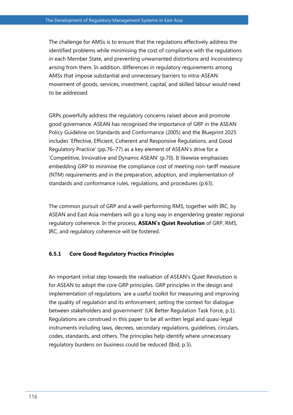The challenge for AMSs is to ensure that the regulations effectively address the identified problems while minimising the cost of compliance with the regulations in each Member State, and preventing unwarranted distortions and inconsistency arising from them. In addition, differences in regulatory requirements among AMSs that impose substantial and unnecessary barriers to intra-ASEAN movement of goods, services, investment, capital, and skilled labour would need to be addressed.

GRPs powerfully address the regulatory concerns raised above and promote good governance. ASEAN has recognised the importance of GRP in the ASEAN Policy Guideline on Standards and Conformance (2005) and the Blueprint 2025 includes 'Effective, Efficient, Coherent and Responsive Regulations, and Good Regulatory Practice' (pp.76–77) as a key element of ASEAN's drive for a 'Competitive, Innovative and Dynamic ASEAN' (p.70). It likewise emphasises embedding GRP to minimise the compliance cost of meeting non-tariff measure (NTM) requirements and in the preparation, adoption, and implementation of standards and conformance rules, regulations, and procedures (p.63).

The common pursuit of GRP and a well-performing RMS, together with IRC, by ASEAN and East Asia members will go a long way in engendering greater regional regulatory coherence. In the process, **ASEAN's Quiet Revolution** of GRP, RMS, IRC, and regulatory coherence will be fostered.

#### **6.5.1 Core Good Regulatory Practice Principles**

An important initial step towards the realisation of ASEAN's Quiet Revolution is for ASEAN to adopt the core GRP principles. GRP principles in the design and implementation of regulations 'are a useful toolkit for measuring and improving the quality of regulation and its enforcement, setting the context for dialogue between stakeholders and government' (UK Better Regulation Task Force, p.1). Regulations are construed in this paper to be all written legal and quasi-legal instruments including laws, decrees, secondary regulations, guidelines, circulars, codes, standards, and others. The principles help identify where unnecessary regulatory burdens on business could be reduced (Ibid, p.5).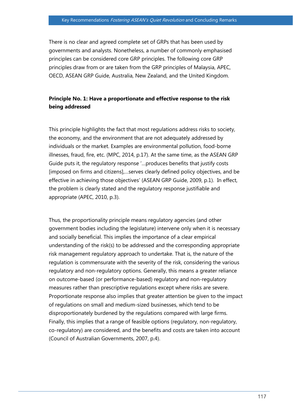There is no clear and agreed complete set of GRPs that has been used by governments and analysts. Nonetheless, a number of commonly emphasised principles can be considered core GRP principles. The following core GRP principles draw from or are taken from the GRP principles of Malaysia, APEC, OECD, ASEAN GRP Guide, Australia, New Zealand, and the United Kingdom.

### **Principle No. 1: Have a proportionate and effective response to the risk being addressed**

This principle highlights the fact that most regulations address risks to society, the economy, and the environment that are not adequately addressed by individuals or the market. Examples are environmental pollution, food-borne illnesses, fraud, fire, etc. (MPC, 2014, p.17). At the same time, as the ASEAN GRP Guide puts it, the regulatory response '…produces benefits that justify costs [imposed on firms and citizens],…serves clearly defined policy objectives, and be effective in achieving those objectives' (ASEAN GRP Guide, 2009, p.1). In effect, the problem is clearly stated and the regulatory response justifiable and appropriate (APEC, 2010, p.3).

Thus, the proportionality principle means regulatory agencies (and other government bodies including the legislature) intervene only when it is necessary and socially beneficial. This implies the importance of a clear empirical understanding of the risk(s) to be addressed and the corresponding appropriate risk management regulatory approach to undertake. That is, the nature of the regulation is commensurate with the severity of the risk, considering the various regulatory and non-regulatory options. Generally, this means a greater reliance on outcome-based (or performance-based) regulatory and non-regulatory measures rather than prescriptive regulations except where risks are severe. Proportionate response also implies that greater attention be given to the impact of regulations on small and medium-sized businesses, which tend to be disproportionately burdened by the regulations compared with large firms. Finally, this implies that a range of feasible options (regulatory, non-regulatory, co-regulatory) are considered, and the benefits and costs are taken into account (Council of Australian Governments, 2007, p.4).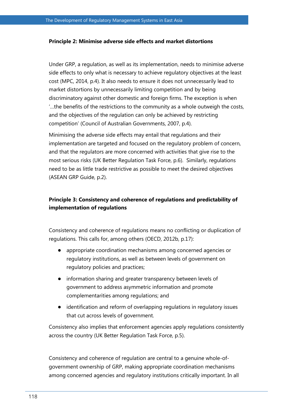#### **Principle 2: Minimise adverse side effects and market distortions**

Under GRP, a regulation, as well as its implementation, needs to minimise adverse side effects to only what is necessary to achieve regulatory objectives at the least cost (MPC, 2014, p.4). It also needs to ensure it does not unnecessarily lead to market distortions by unnecessarily limiting competition and by being discriminatory against other domestic and foreign firms. The exception is when '…the benefits of the restrictions to the community as a whole outweigh the costs, and the objectives of the regulation can only be achieved by restricting competition' (Council of Australian Governments, 2007, p.4).

Minimising the adverse side effects may entail that regulations and their implementation are targeted and focused on the regulatory problem of concern, and that the regulators are more concerned with activities that give rise to the most serious risks (UK Better Regulation Task Force, p.6). Similarly, regulations need to be as little trade restrictive as possible to meet the desired objectives (ASEAN GRP Guide, p.2).

## **Principle 3: Consistency and coherence of regulations and predictability of implementation of regulations**

Consistency and coherence of regulations means no conflicting or duplication of regulations. This calls for, among others (OECD, 2012b, p.17):

- appropriate coordination mechanisms among concerned agencies or regulatory institutions, as well as between levels of government on regulatory policies and practices;
- information sharing and greater transparency between levels of government to address asymmetric information and promote complementarities among regulations; and
- identification and reform of overlapping regulations in regulatory issues that cut across levels of government.

Consistency also implies that enforcement agencies apply regulations consistently across the country (UK Better Regulation Task Force, p.5).

Consistency and coherence of regulation are central to a genuine whole-ofgovernment ownership of GRP, making appropriate coordination mechanisms among concerned agencies and regulatory institutions critically important. In all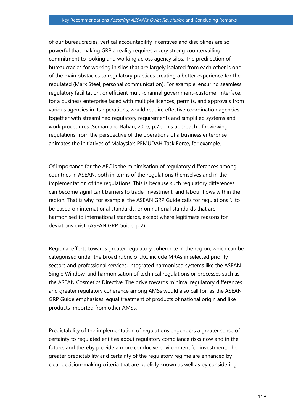of our bureaucracies, vertical accountability incentives and disciplines are so powerful that making GRP a reality requires a very strong countervailing commitment to looking and working across agency silos. The predilection of bureaucracies for working in silos that are largely isolated from each other is one of the main obstacles to regulatory practices creating a better experience for the regulated (Mark Steel, personal communication). For example, ensuring seamless regulatory facilitation, or efficient multi-channel government–customer interface, for a business enterprise faced with multiple licences, permits, and approvals from various agencies in its operations, would require effective coordination agencies together with streamlined regulatory requirements and simplified systems and work procedures (Seman and Bahari, 2016, p.7). This approach of reviewing regulations from the perspective of the operations of a business enterprise animates the initiatives of Malaysia's PEMUDAH Task Force, for example.

Of importance for the AEC is the minimisation of regulatory differences among countries in ASEAN, both in terms of the regulations themselves and in the implementation of the regulations. This is because such regulatory differences can become significant barriers to trade, investment, and labour flows within the region. That is why, for example, the ASEAN GRP Guide calls for regulations '…to be based on international standards, or on national standards that are harmonised to international standards, except where legitimate reasons for deviations exist' (ASEAN GRP Guide, p.2).

Regional efforts towards greater regulatory coherence in the region, which can be categorised under the broad rubric of IRC include MRAs in selected priority sectors and professional services, integrated harmonised systems like the ASEAN Single Window, and harmonisation of technical regulations or processes such as the ASEAN Cosmetics Directive. The drive towards minimal regulatory differences and greater regulatory coherence among AMSs would also call for, as the ASEAN GRP Guide emphasises, equal treatment of products of national origin and like products imported from other AMSs.

Predictability of the implementation of regulations engenders a greater sense of certainty to regulated entities about regulatory compliance risks now and in the future, and thereby provide a more conducive environment for investment. The greater predictability and certainty of the regulatory regime are enhanced by clear decision-making criteria that are publicly known as well as by considering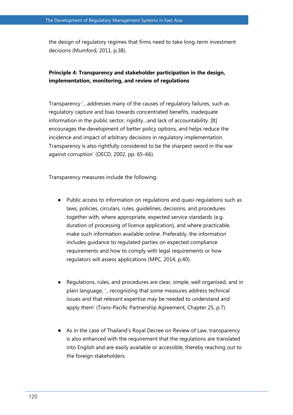the design of regulatory regimes that firms need to take long-term investment decisions (Mumford, 2011, p.38).

## **Principle 4: Transparency and stakeholder participation in the design, implementation, monitoring, and review of regulations**

Transparency '…addresses many of the causes of regulatory failures, such as regulatory capture and bias towards concentrated benefits, inadequate information in the public sector, rigidity…and lack of accountability. [It] encourages the development of better policy options, and helps reduce the incidence and impact of arbitrary decisions in regulatory implementation. Transparency is also rightfully considered to be the sharpest sword in the war against corruption' (OECD, 2002, pp. 65–66).

Transparency measures include the following:

- Public access to information on regulations and quasi-regulations such as laws, policies, circulars, rules, guidelines, decisions, and procedures together with, where appropriate, expected service standards (e.g. duration of processing of licence application), and where practicable, make such information available online. Preferably, the information includes guidance to regulated parties on expected compliance requirements and how to comply with legal requirements or how regulators will assess applications (MPC, 2014, p.40).
- Regulations, rules, and procedures are clear, simple, well organised, and in plain language, '…recognizing that some measures address technical issues and that relevant expertise may be needed to understand and apply them' (Trans-Pacific Partnership Agreement, Chapter 25, p.7).
- As in the case of Thailand's Royal Decree on Review of Law, transparency is also enhanced with the requirement that the regulations are translated into English and are easily available or accessible, thereby reaching out to the foreign stakeholders.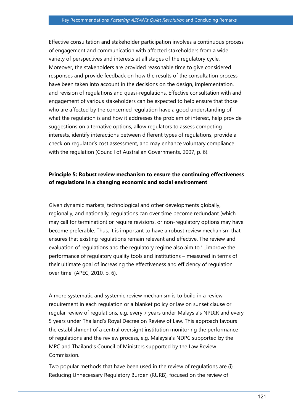Effective consultation and stakeholder participation involves a continuous process of engagement and communication with affected stakeholders from a wide variety of perspectives and interests at all stages of the regulatory cycle. Moreover, the stakeholders are provided reasonable time to give considered responses and provide feedback on how the results of the consultation process have been taken into account in the decisions on the design, implementation, and revision of regulations and quasi-regulations. Effective consultation with and engagement of various stakeholders can be expected to help ensure that those who are affected by the concerned regulation have a good understanding of what the regulation is and how it addresses the problem of interest, help provide suggestions on alternative options, allow regulators to assess competing interests, identify interactions between different types of regulations, provide a check on regulator's cost assessment, and may enhance voluntary compliance with the regulation (Council of Australian Governments, 2007, p. 6).

### **Principle 5: Robust review mechanism to ensure the continuing effectiveness of regulations in a changing economic and social environment**

Given dynamic markets, technological and other developments globally, regionally, and nationally, regulations can over time become redundant (which may call for termination) or require revisions, or non-regulatory options may have become preferable. Thus, it is important to have a robust review mechanism that ensures that existing regulations remain relevant and effective. The review and evaluation of regulations and the regulatory regime also aim to '…improve the performance of regulatory quality tools and institutions – measured in terms of their ultimate goal of increasing the effectiveness and efficiency of regulation over time' (APEC, 2010, p. 6).

A more systematic and systemic review mechanism is to build in a review requirement in each regulation or a blanket policy or law on sunset clause or regular review of regulations, e.g. every 7 years under Malaysia's NPDIR and every 5 years under Thailand's Royal Decree on Review of Law. This approach favours the establishment of a central oversight institution monitoring the performance of regulations and the review process, e.g. Malaysia's NDPC supported by the MPC and Thailand's Council of Ministers supported by the Law Review Commission.

Two popular methods that have been used in the review of regulations are (i) Reducing Unnecessary Regulatory Burden (RURB), focused on the review of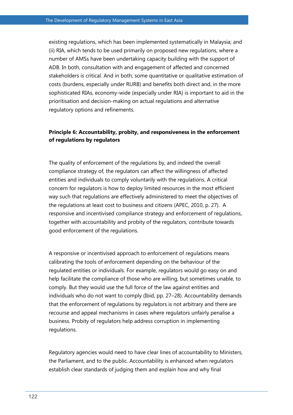existing regulations, which has been implemented systematically in Malaysia; and (ii) RIA, which tends to be used primarily on proposed new regulations, where a number of AMSs have been undertaking capacity building with the support of ADB. In both, consultation with and engagement of affected and concerned stakeholders is critical. And in both, some quantitative or qualitative estimation of costs (burdens, especially under RURB) and benefits both direct and, in the more sophisticated RIAs, economy-wide (especially under RIA) is important to aid in the prioritisation and decision-making on actual regulations and alternative regulatory options and refinements.

## **Principle 6: Accountability, probity, and responsiveness in the enforcement of regulations by regulators**

The quality of enforcement of the regulations by, and indeed the overall compliance strategy of, the regulators can affect the willingness of affected entities and individuals to comply voluntarily with the regulations. A critical concern for regulators is how to deploy limited resources in the most efficient way such that regulations are effectively administered to meet the objectives of the regulations at least cost to business and citizens (APEC, 2010, p. 27). A responsive and incentivised compliance strategy and enforcement of regulations, together with accountability and probity of the regulators, contribute towards good enforcement of the regulations.

A responsive or incentivised approach to enforcement of regulations means calibrating the tools of enforcement depending on the behaviour of the regulated entities or individuals. For example, regulators would go easy on and help facilitate the compliance of those who are willing, but sometimes unable, to comply. But they would use the full force of the law against entities and individuals who do not want to comply (Ibid, pp. 27–28). Accountability demands that the enforcement of regulations by regulators is not arbitrary and there are recourse and appeal mechanisms in cases where regulators unfairly penalise a business. Probity of regulators help address corruption in implementing regulations.

Regulatory agencies would need to have clear lines of accountability to Ministers, the Parliament, and to the public. Accountability is enhanced when regulators establish clear standards of judging them and explain how and why final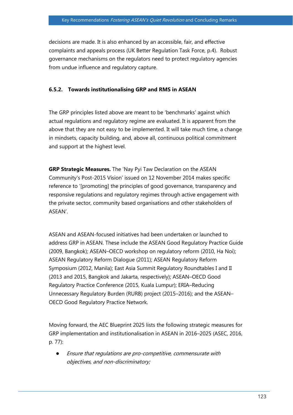decisions are made. It is also enhanced by an accessible, fair, and effective complaints and appeals process (UK Better Regulation Task Force, p.4). Robust governance mechanisms on the regulators need to protect regulatory agencies from undue influence and regulatory capture.

### **6.5.2. Towards institutionalising GRP and RMS in ASEAN**

The GRP principles listed above are meant to be 'benchmarks' against which actual regulations and regulatory regime are evaluated. It is apparent from the above that they are not easy to be implemented. It will take much time, a change in mindsets, capacity building, and, above all, continuous political commitment and support at the highest level.

**GRP Strategic Measures.** The 'Nay Pyi Taw Declaration on the ASEAN Community's Post-2015 Vision' issued on 12 November 2014 makes specific reference to '[promoting] the principles of good governance, transparency and responsive regulations and regulatory regimes through active engagement with the private sector, community based organisations and other stakeholders of ASEAN'.

ASEAN and ASEAN-focused initiatives had been undertaken or launched to address GRP in ASEAN. These include the ASEAN Good Regulatory Practice Guide (2009, Bangkok); ASEAN–OECD workshop on regulatory reform (2010, Ha Noi); ASEAN Regulatory Reform Dialogue (2011); ASEAN Regulatory Reform Symposium (2012, Manila); East Asia Summit Regulatory Roundtables I and II (2013 and 2015, Bangkok and Jakarta, respectively); ASEAN–OECD Good Regulatory Practice Conference (2015, Kuala Lumpur); ERIA–Reducing Unnecessary Regulatory Burden (RURB) project (2015–2016); and the ASEAN– OECD Good Regulatory Practice Network.

Moving forward, the AEC Blueprint 2025 lists the following strategic measures for GRP implementation and institutionalisation in ASEAN in 2016–2025 (ASEC, 2016, p. 77):

Ensure that regulations are pro-competitive, commensurate with objectives, and non-discriminatory;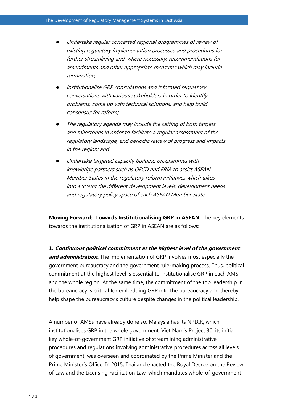- Undertake regular concerted regional programmes of review of existing regulatory implementation processes and procedures for further streamlining and, where necessary, recommendations for amendments and other appropriate measures which may include termination;
- Institutionalise GRP consultations and informed regulatory conversations with various stakeholders in order to identify problems, come up with technical solutions, and help build consensus for reform;
- The regulatory agenda may include the setting of both targets and milestones in order to facilitate a regular assessment of the regulatory landscape, and periodic review of progress and impacts in the region; and
- Undertake targeted capacity building programmes with knowledge partners such as OECD and ERIA to assist ASEAN Member States in the regulatory reform initiatives which takes into account the different development levels, development needs and regulatory policy space of each ASEAN Member State.

**Moving Forward: Towards Institutionalising GRP in ASEAN.** The key elements towards the institutionalisation of GRP in ASEAN are as follows:

**1. Continuous political commitment at the highest level of the government and administration.** The implementation of GRP involves most especially the government bureaucracy and the government rule-making process. Thus, political commitment at the highest level is essential to institutionalise GRP in each AMS and the whole region. At the same time, the commitment of the top leadership in the bureaucracy is critical for embedding GRP into the bureaucracy and thereby help shape the bureaucracy's culture despite changes in the political leadership.

A number of AMSs have already done so. Malaysia has its NPDIR, which institutionalises GRP in the whole government. Viet Nam's Project 30, its initial key whole-of-government GRP initiative of streamlining administrative procedures and regulations involving administrative procedures across all levels of government, was overseen and coordinated by the Prime Minister and the Prime Minister's Office. In 2015, Thailand enacted the Royal Decree on the Review of Law and the Licensing Facilitation Law, which mandates whole-of-government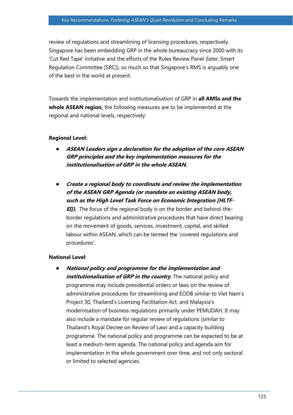review of regulations and streamlining of licensing procedures, respectively. Singapore has been embedding GRP in the whole bureaucracy since 2000 with its 'Cut Red Tape' initiative and the efforts of the Rules Review Panel (later, Smart Regulation Committee [SRC]), so much so that Singapore's RMS is arguably one of the best in the world at present.

Towards the implementation and institutionalisation of GRP in **all AMSs and the whole ASEAN region,** the following measures are to be implemented at the regional and national levels, respectively:

### **Regional Level:**

- ASEAN Leaders sign a declaration for the adoption of the core ASEAN **GRP principles and the key implementation measures for the institutionalisation of GRP in the whole ASEAN.**
- **Create a regional body to coordinate and review the implementation of the ASEAN GRP Agenda (or mandate an existing ASEAN body, such as the High Level Task Force on Economic Integration [HLTF**– **EIJ).** The focus of the regional body is on the border and behind-theborder regulations and administrative procedures that have direct bearing on the movement of goods, services, investment, capital, and skilled labour within ASEAN, which can be termed the 'covered regulations and procedures'.

### **National Level**:

**National policy and programme for the implementation and** *institutionalisation of GRP in the country.* **The national policy and** programme may include presidential orders or laws on the review of administrative procedures for streamlining and EODB similar to Viet Nam's Project 30, Thailand's Licensing Facilitation Act, and Malaysia's modernisation of business regulations primarily under PEMUDAH. It may also include a mandate for regular review of regulations (similar to Thailand's Royal Decree on Review of Law) and a capacity building programme. The national policy and programme can be expected to be at least a medium-term agenda. The national policy and agenda aim for implementation in the whole government over time, and not only sectoral or limited to selected agencies.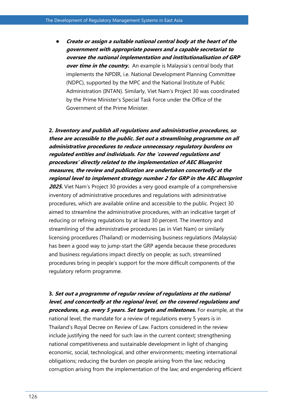● **Create or assign a suitable national central body at the heart of the government with appropriate powers and a capable secretariat to oversee the national implementation and institutionalisation of GRP**  *over time in the country.* An example is Malaysia's central body that implements the NPDIR, i.e. National Development Planning Committee (NDPC), supported by the MPC and the National Institute of Public Administration (INTAN). Similarly, Viet Nam's Project 30 was coordinated by the Prime Minister's Special Task Force under the Office of the Government of the Prime Minister.

# **2. Inventory and publish all regulations and administrative procedures, so these are accessible to the public. Set out a streamlining programme on all administrative procedures to reduce unnecessary regulatory burdens on regulated entities and individuals. For the 'covered regulations and procedures' directly related to the implementation of AEC Blueprint measures, the review and publication are undertaken concertedly at the regional level to implement strategy number 2 for GRP in the AEC Blueprint**

**2025.** Viet Nam's Project 30 provides a very good example of a comprehensive inventory of administrative procedures and regulations with administrative procedures, which are available online and accessible to the public. Project 30 aimed to streamline the administrative procedures, with an indicative target of reducing or refining regulations by at least 30 percent. The inventory and streamlining of the administrative procedures (as in Viet Nam) or similarly licensing procedures (Thailand) or modernising business regulations (Malaysia) has been a good way to jump-start the GRP agenda because these procedures and business regulations impact directly on people; as such, streamlined procedures bring in people's support for the more difficult components of the regulatory reform programme.

# **3. Set out a programme of regular review of regulations at the national level, and concertedly at the regional level, on the covered regulations and procedures, e.g. every 5 years. Set targets and milestones.** For example, at the

national level, the mandate for a review of regulations every 5 years is in Thailand's Royal Decree on Review of Law. Factors considered in the review include justifying the need for such law in the current context; strengthening national competitiveness and sustainable development in light of changing economic, social, technological, and other environments; meeting international obligations; reducing the burden on people arising from the law; reducing corruption arising from the implementation of the law; and engendering efficient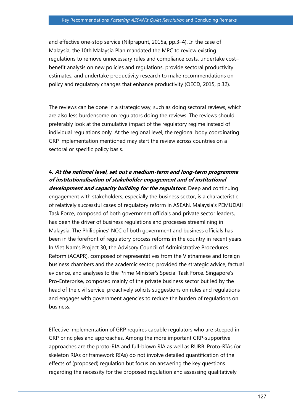and effective one-stop service (Nilprapunt, 2015a, pp.3–4). In the case of Malaysia, the 10th Malaysia Plan mandated the MPC to review existing regulations to remove unnecessary rules and compliance costs, undertake cost– benefit analysis on new policies and regulations, provide sectoral productivity estimates, and undertake productivity research to make recommendations on policy and regulatory changes that enhance productivity (OECD, 2015, p.32).

The reviews can be done in a strategic way, such as doing sectoral reviews, which are also less burdensome on regulators doing the reviews. The reviews should preferably look at the cumulative impact of the regulatory regime instead of individual regulations only. At the regional level, the regional body coordinating GRP implementation mentioned may start the review across countries on a sectoral or specific policy basis.

# **4. At the national level, set out a medium-term and long-term programme of institutionalisation of stakeholder engagement and of institutional**

**development and capacity building for the regulators.** Deep and continuing engagement with stakeholders, especially the business sector, is a characteristic of relatively successful cases of regulatory reform in ASEAN. Malaysia's PEMUDAH Task Force, composed of both government officials and private sector leaders, has been the driver of business regulations and processes streamlining in Malaysia. The Philippines' NCC of both government and business officials has been in the forefront of regulatory process reforms in the country in recent years. In Viet Nam's Project 30, the Advisory Council of Administrative Procedures Reform (ACAPR), composed of representatives from the Vietnamese and foreign business chambers and the academic sector, provided the strategic advice, factual evidence, and analyses to the Prime Minister's Special Task Force. Singapore's Pro-Enterprise, composed mainly of the private business sector but led by the head of the civil service, proactively solicits suggestions on rules and regulations and engages with government agencies to reduce the burden of regulations on business.

Effective implementation of GRP requires capable regulators who are steeped in GRP principles and approaches. Among the more important GRP-supportive approaches are the proto-RIA and full-blown RIA as well as RURB. Proto-RIAs (or skeleton RIAs or framework RIAs) do not involve detailed quantification of the effects of (proposed) regulation but focus on answering the key questions regarding the necessity for the proposed regulation and assessing qualitatively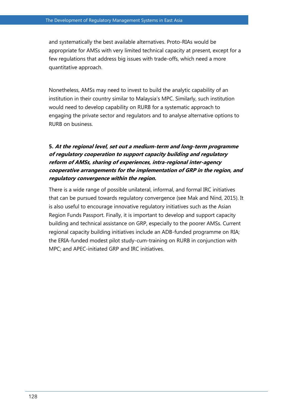and systematically the best available alternatives. Proto-RIAs would be appropriate for AMSs with very limited technical capacity at present, except for a few regulations that address big issues with trade-offs, which need a more quantitative approach.

Nonetheless, AMSs may need to invest to build the analytic capability of an institution in their country similar to Malaysia's MPC. Similarly, such institution would need to develop capability on RURB for a systematic approach to engaging the private sector and regulators and to analyse alternative options to RURB on business.

# **5. At the regional level, set out a medium-term and long-term programme of regulatory cooperation to support capacity building and regulatory reform of AMSs, sharing of experiences, intra-regional inter-agency cooperative arrangements for the implementation of GRP in the region, and regulatory convergence within the region.**

There is a wide range of possible unilateral, informal, and formal IRC initiatives that can be pursued towards regulatory convergence (see Mak and Nind, 2015). It is also useful to encourage innovative regulatory initiatives such as the Asian Region Funds Passport. Finally, it is important to develop and support capacity building and technical assistance on GRP, especially to the poorer AMSs. Current regional capacity building initiatives include an ADB-funded programme on RIA; the ERIA-funded modest pilot study-cum-training on RURB in conjunction with MPC; and APEC-initiated GRP and IRC initiatives.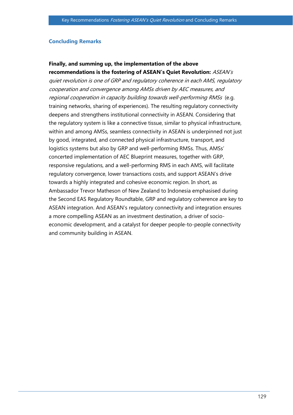#### **Concluding Remarks**

# **Finally, and summing up, the implementation of the above**

**recommendations is the fostering of ASEAN's Quiet Revolution:** ASEAN's quiet revolution is one of GRP and regulatory coherence in each AMS, regulatory cooperation and convergence among AMSs driven by AEC measures, and regional cooperation in capacity building towards well-performing RMSs (e.g. training networks, sharing of experiences). The resulting regulatory connectivity deepens and strengthens institutional connectivity in ASEAN. Considering that the regulatory system is like a connective tissue, similar to physical infrastructure, within and among AMSs, seamless connectivity in ASEAN is underpinned not just by good, integrated, and connected physical infrastructure, transport, and logistics systems but also by GRP and well-performing RMSs. Thus, AMSs' concerted implementation of AEC Blueprint measures, together with GRP, responsive regulations, and a well-performing RMS in each AMS, will facilitate regulatory convergence, lower transactions costs, and support ASEAN's drive towards a highly integrated and cohesive economic region. In short, as Ambassador Trevor Matheson of New Zealand to Indonesia emphasised during the Second EAS Regulatory Roundtable, GRP and regulatory coherence are key to ASEAN integration. And ASEAN's regulatory connectivity and integration ensures a more compelling ASEAN as an investment destination, a driver of socioeconomic development, and a catalyst for deeper people-to-people connectivity and community building in ASEAN.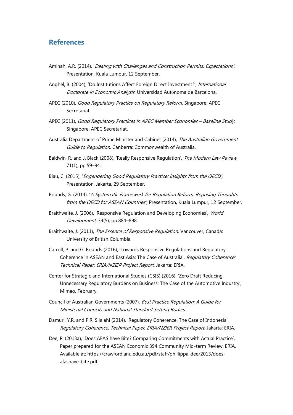### **References**

- Aminah, A.R. (2014), 'Dealing with Challenges and Construction Permits: Expectations', Presentation, Kuala Lumpur, 12 September.
- Anghel, B. (2004), 'Do Institutions Affect Foreign Direct Investment?', International Doctorate in Economic Analysis. Universidad Autόnoma de Barcelona.
- APEC (2010), Good Regulatory Practice on Regulatory Reform. Singapore: APEC Secretariat.
- APEC (2011), Good Regulatory Practices in APEC Member Economies Baseline Study. Singapore: APEC Secretariat.
- Australia Department of Prime Minister and Cabinet (2014), The Australian Government Guide to Regulation. Canberra: Commonwealth of Australia.
- Baldwin, R. and J. Black (2008), 'Really Responsive Regulation', The Modern Law Review, 71(1), pp.59–94.
- Biau, C. (2015), 'Engendering Good Regulatory Practice: Insights from the OECD', Presentation, Jakarta, 29 September.
- Bounds, G. (2014), 'A Systematic Framework for Regulation Reform: Reprising Thoughts from the OECD for ASEAN Countries', Presentation, Kuala Lumpur, 12 September.
- Braithwaite, J. (2006), 'Responsive Regulation and Developing Economies', World Development, 34(5), pp.884–898.
- Braithwaite, J. (2011), The Essence of Responsive Regulation. Vancouver, Canada: University of British Columbia.
- Carroll, P. and G. Bounds (2016), 'Towards Responsive Regulations and Regulatory Coherence in ASEAN and East Asia: The Case of Australia', Regulatory Coherence: Technical Paper, ERIA/NZIER Project Report. Jakarta: ERIA.
- Center for Strategic and International Studies (CSIS) (2016), 'Zero Draft Reducing Unnecessary Regulatory Burdens on Business: The Case of the Automotive Industry', Mimeo, February.
- Council of Australian Governments (2007), Best Practice Regulation: A Guide for Ministerial Councils and National Standard Setting Bodies.
- Damuri, Y.R. and P.R. Silalahi (2014), 'Regulatory Coherence: The Case of Indonesia', Regulatory Coherence: Technical Paper, ERIA/NZIER Project Report. Jakarta: ERIA.
- Dee, P. (2013a), 'Does AFAS have Bite? Comparing Commitments with Actual Practice', Paper prepared for the ASEAN Economic 394 Community Mid-term Review, ERIA. Available at: [https://crawford.anu.edu.au/pdf/staff/phillippa\\_dee/2013/does](https://crawford.anu.edu.au/pdf/staff/phillippa_dee/2013/does-afashave-bite.pdf)[afashave-bite.pdf](https://crawford.anu.edu.au/pdf/staff/phillippa_dee/2013/does-afashave-bite.pdf)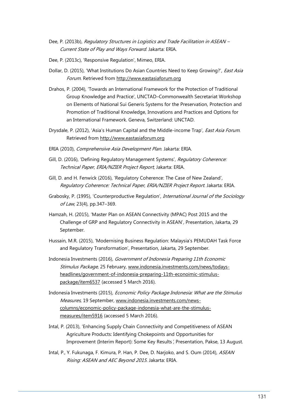- Dee, P. (2013b), Reaulatory Structures in Logistics and Trade Facilitation in ASEAN Current State of Play and Ways Forward. Jakarta: ERIA.
- Dee, P. (2013c), 'Responsive Regulation', Mimeo, ERIA.
- Dollar, D. (2015), 'What Institutions Do Asian Countries Need to Keep Growing?', East Asia Forum. Retrieved from [http://www.eastasiaforum.org](http://www.eastasiaforum.org/)
- Drahos, P. (2004), 'Towards an International Framework for the Protection of Traditional Group Knowledge and Practice', UNCTAD–Commonwealth Secretariat Workshop on Elements of National Sui Generis Systems for the Preservation, Protection and Promotion of Traditional Knowledge, Innovations and Practices and Options for an International Framework. Geneva, Switzerland: UNCTAD.
- Drysdale, P. (2012), 'Asia's Human Capital and the Middle-income Trap', *East Asia Forum.* Retrieved from [http://www.eastasiaforum.org](http://www.eastasiaforum.org/)
- ERIA (2010), Comprehensive Asia Development Plan. Jakarta: ERIA.
- Gill, D. (2016), 'Defining Regulatory Management Systems', Regulatory Coherence: Technical Paper, ERIA/NZIER Project Report, Jakarta: ERIA.
- Gill, D. and H. Fenwick (2016), 'Regulatory Coherence: The Case of New Zealand', Regulatory Coherence: Technical Paper, ERIA/NZIER Project Report. Jakarta: ERIA.
- Grabosky, P. (1995), 'Counterproductive Regulation', International Journal of the Sociology of Law, 23(4), pp.347–369.
- Hamzah, H. (2015), 'Master Plan on ASEAN Connectivity (MPAC) Post 2015 and the Challenge of GRP and Regulatory Connectivity in ASEAN', Presentation, Jakarta, 29 September.
- Hussain, M.R. (2015), 'Modernising Business Regulation: Malaysia's PEMUDAH Task Force and Regulatory Transformation', Presentation, Jakarta, 29 September.
- Indonesia Investments (2016), Government of Indonesia Preparing 11th Economic Stimulus Package, 25 February, [www.indonesia.investments.com/news/todays](http://www.indonesia.investments.com/news/todays-headlines/government-of-indonesia-preparing-11th-econoimic-stimulus-package/item6537)[headlines/government-of-indonesia-preparing-11th-econoimic-stimulus](http://www.indonesia.investments.com/news/todays-headlines/government-of-indonesia-preparing-11th-econoimic-stimulus-package/item6537)[package/item6537](http://www.indonesia.investments.com/news/todays-headlines/government-of-indonesia-preparing-11th-econoimic-stimulus-package/item6537) (accessed 5 March 2016).
- Indonesia Investments (2015), Economic Policy Package Indonesia: What are the Stimulus Measures, 19 September, [www.indonesia.investments.com/news](http://www.indonesia.investments.com/news-columns/economic-policy-package-indonesia-what-are-the-stimulus-measures/item5916)[columns/economic-policy-package-indonesia-what-are-the-stimulus](http://www.indonesia.investments.com/news-columns/economic-policy-package-indonesia-what-are-the-stimulus-measures/item5916)[measures/item5916](http://www.indonesia.investments.com/news-columns/economic-policy-package-indonesia-what-are-the-stimulus-measures/item5916) (accessed 5 March 2016).
- Intal, P. (2013), 'Enhancing Supply Chain Connectivity and Competitiveness of ASEAN Agriculture Products: Identifying Chokepoints and Opportunities for Improvement (Interim Report): Some Key Results', Presentation, Pakse, 13 August.
- Intal, P., Y. Fukunaga, F. Kimura, P. Han, P. Dee, D. Narjoko, and S. Oum (2014), ASEAN Rising: ASEAN and AEC Beyond <sup>2015</sup>. Jakarta: ERIA.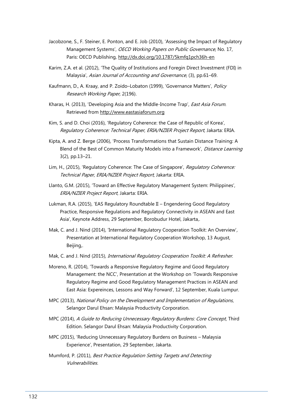- Jacobzone, S., F. Steiner, E. Ponton, and E. Job (2010), 'Assessing the Impact of Regulatory Management Systems', OECD Working Papers on Public Governance, No. 17, Paris: OECD Publishing,<http://dx.doi.org/10.1787/5kmfq1pch36h-en>
- Karim, Z.A. et al. (2012), 'The Quality of Institutions and Foregin Direct Investment (FDI) in Malaysia', Asian Journal of Accounting and Governance, (3), pp.61–69.
- Kaufmann, D., A. Kraay, and P. Zoido-Lobaton (1999), 'Governance Matters', Policy Research Working Paper, 2(196).
- Kharas, H. (2013), 'Developing Asia and the Middle-Income Trap', *East Asia Forum.* Retrieved from [http://www.eastasiaforum.org](http://www.eastasiaforum.org/)
- Kim, S. and D. Choi (2016), 'Regulatory Coherence: the Case of Republic of Korea', Regulatory Coherence: Technical Paper, ERIA/NZIER Project Report, Jakarta: ERIA.
- Kipta, A. and Z. Berge (2006), 'Process Transformations that Sustain Distance Training: A Blend of the Best of Common Maturity Models into a Framework', *Distance Learning* 3(2), pp.13–21.
- Lim, H., (2015), 'Regulatory Coherence: The Case of Singapore', Regulatory Coherence: Technical Paper, ERIA/NZIER Project Report, Jakarta: ERIA.
- Llanto, G.M. (2015), 'Toward an Effective Regulatory Management System: Philippines', ERIA/NZIER Project Report, Jakarta: ERIA.
- Lukman, R.A. (2015), 'EAS Regulatory Roundtable II Engendering Good Regulatory Practice, Responsive Regulations and Regulatory Connectivity in ASEAN and East Asia', Keynote Address, 29 September, Borobudur Hotel, Jakarta,.
- Mak, C. and J. Nind (2014), 'International Regulatory Cooperation Toolkit: An Overview', Presentation at International Regulatory Cooperation Workshop, 13 August, Beijing,.
- Mak, C. and J. Nind (2015), *International Regulatory Cooperation Toolkit: A Refresher.*
- Moreno, R. (2014), 'Towards a Responsive Regulatory Regime and Good Regulatory Management: the NCC', Presentation at the Workshop on 'Towards Responsive Regulatory Regime and Good Regulatory Management Practices in ASEAN and East Asia: Expereinces, Lessons and Way Forward', 12 September, Kuala Lumpur.
- MPC (2013), National Policy on the Development and Implementation of Regulations, Selangor Darul Ehsan: Malaysia Productivity Corporation.
- MPC (2014), A Guide to Reducing Unnecessary Regulatory Burdens: Core Concept, Third Edition. Selangor Darul Ehsan: Malaysia Productivity Corporation.
- MPC (2015), 'Reducing Unnecessary Regulatory Burdens on Business Malaysia Experience', Presentation, 29 September, Jakarta.
- Mumford, P. (2011), Best Practice Regulation Setting Targets and Detecting Vulnerabilities.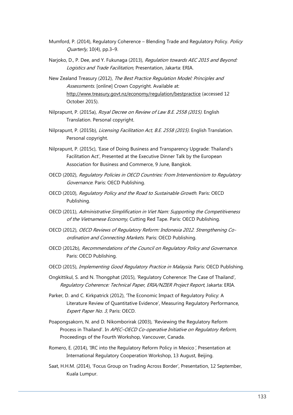- Mumford, P. (2014), Regulatory Coherence Blending Trade and Regulatory Policy. Policy  $Quarterly, 10(4), pp.3-9.$
- Narjoko, D., P. Dee, and Y. Fukunaga (2013), Regulation towards AEC 2015 and Beyond: Logistics and Trade Facilitation, Presentation, Jakarta: ERIA.
- New Zealand Treasury (2012), The Best Practice Regulation Model: Principles and Assessments. [online] Crown Copyright. Available at: <http://www.treasury.govt.nz/economy/regulation/bestpractice> (accessed 12 October 2015).
- Nilprapunt, P. (2015a), Royal Decree on Review of Law B.E. 2558 (2015). English Translation. Personal copyright.
- Nilprapunt, P. (2015b), Licensing Facilitation Act, B.E. 2558 (2015). English Translation. Personal copyright.
- Nilprapunt, P. (2015c), 'Ease of Doing Business and Transparency Upgrade: Thailand's Facilitation Act', Presented at the Executive Dinner Talk by the European Association for Business and Commerce, 9 June, Bangkok.
- OECD (2002), Regulatory Policies in OECD Countries: From Interventionism to Regulatory Governance. Paris: OECD Publishing.
- OECD (2010), Regulatory Policy and the Road to Sustainable Growth. Paris: OECD Publishing.
- OECD (2011), Administrative Simplification in Viet Nam: Supporting the Competitiveness of the Vietnamese Economy, Cutting Red Tape. Paris: OECD Publishing.
- OECD (2012), OECD Reviews of Regulatory Reform: Indonesia 2012. Strengthening Coordination and Connecting Markets. Paris: OECD Publishing.
- OECD (2012b), Recommendations of the Council on Regulatory Policy and Governance. Paris: OECD Publishing.
- OECD (2015), Implementing Good Regulatory Practice in Malaysia. Paris: OECD Publishing.
- Ongkittikul, S. and N. Thongphat (2015), 'Regulatory Coherence: The Case of Thailand', Regulatory Coherence: Technical Paper, ERIA/NZIER Project Report, Jakarta: ERIA.
- Parker, D. and C. Kirkpatrick (2012), 'The Economic Impact of Regulatory Policy: A Literature Review of Quantitative Evidence', Measuring Regulatory Performance, Expert Paper No. 3, Paris: OECD.
- Poapongsakorn, N. and D. Nikomborirak (2003), 'Reviewing the Regulatory Reform Process in Thailand'. In APEC-OECD Co-operative Initiative on Regulatory Reform, Proceedings of the Fourth Workshop, Vancouver, Canada.
- Romero, E. (2014), 'IRC into the Regulatory Reform Policy in Mexico', Presentation at International Regulatory Cooperation Workshop, 13 August, Beijing.
- Saat, H.H.M. (2014), 'Focus Group on Trading Across Border', Presentation, 12 September, Kuala Lumpur.